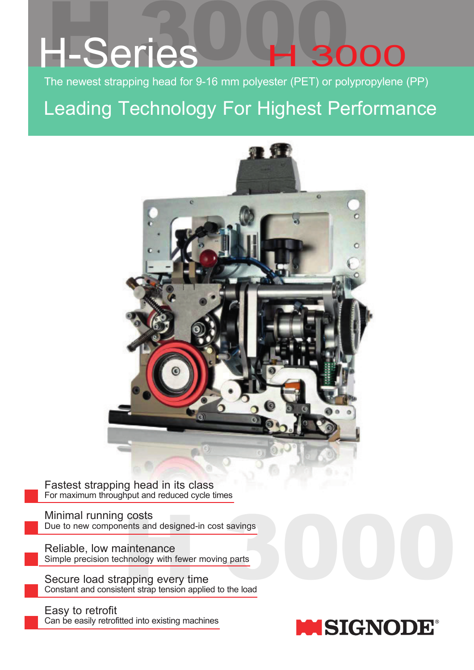# H-Series<sup>1</sup>H3d 3000

The newest strapping head for 9-16 mm polyester (PET) or polypropylene (PP)

Leading Technology For Highest Performance



Fastest strapping head in its class For maximum throughput and reduced cycle times

Minimal running costs Due to new components and designed-in cost savings

Reliable, low maintenance Simple precision technology with fewer moving parts

COSts<br>
ents and designed-in cost savings<br>
aintenance<br>
thnology with fewer moving parts<br>
appping every time<br>
tent strap tension applied to the load Secure load strapping every time Constant and consistent strap tension applied to the load

Easy to retrofit Can be easily retrofitted into existing machines